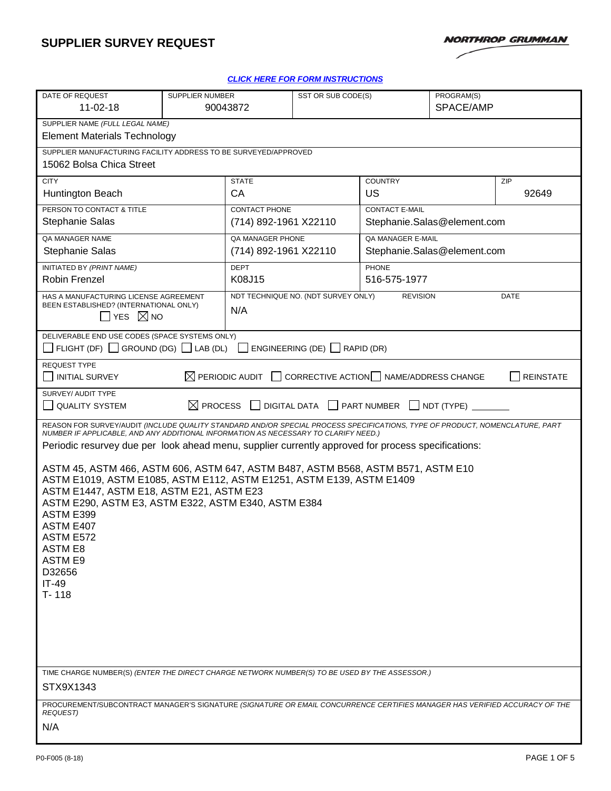# **SUPPLIER SURVEY REQUEST**



#### *[CLICK HERE FOR FORM INSTRUCTIONS](https://oursites.myngc.com/ENT/Process/AS/Templates/Form%20Instruction/P0-F005inst.docx)*

| DATE OF REQUEST                                                                                                                                                                                                     | <b>SUPPLIER NUMBER</b>                                                                        |                                           | SST OR SUB CODE(S)                  |                                                         | PROGRAM(S)   |                  |  |
|---------------------------------------------------------------------------------------------------------------------------------------------------------------------------------------------------------------------|-----------------------------------------------------------------------------------------------|-------------------------------------------|-------------------------------------|---------------------------------------------------------|--------------|------------------|--|
| $11-02-18$                                                                                                                                                                                                          | 90043872                                                                                      |                                           | SPACE/AMP                           |                                                         |              |                  |  |
| SUPPLIER NAME (FULL LEGAL NAME)<br><b>Element Materials Technology</b>                                                                                                                                              |                                                                                               |                                           |                                     |                                                         |              |                  |  |
| SUPPLIER MANUFACTURING FACILITY ADDRESS TO BE SURVEYED/APPROVED<br>15062 Bolsa Chica Street                                                                                                                         |                                                                                               |                                           |                                     |                                                         |              |                  |  |
| <b>CITY</b>                                                                                                                                                                                                         |                                                                                               | <b>STATE</b>                              |                                     | <b>COUNTRY</b>                                          |              | ZIP              |  |
| Huntington Beach                                                                                                                                                                                                    |                                                                                               | <b>CA</b>                                 |                                     | US                                                      |              | 92649            |  |
| PERSON TO CONTACT & TITLE                                                                                                                                                                                           |                                                                                               | <b>CONTACT PHONE</b>                      |                                     | <b>CONTACT E-MAIL</b>                                   |              |                  |  |
| <b>Stephanie Salas</b>                                                                                                                                                                                              |                                                                                               | (714) 892-1961 X22110                     |                                     | Stephanie.Salas@element.com                             |              |                  |  |
| QA MANAGER NAME<br>Stephanie Salas                                                                                                                                                                                  |                                                                                               | QA MANAGER PHONE<br>(714) 892-1961 X22110 |                                     | <b>QA MANAGER E-MAIL</b><br>Stephanie.Salas@element.com |              |                  |  |
| INITIATED BY (PRINT NAME)                                                                                                                                                                                           |                                                                                               | <b>DEPT</b>                               |                                     | <b>PHONE</b>                                            |              |                  |  |
| Robin Frenzel                                                                                                                                                                                                       |                                                                                               | K08J15                                    |                                     |                                                         | 516-575-1977 |                  |  |
| HAS A MANUFACTURING LICENSE AGREEMENT                                                                                                                                                                               |                                                                                               |                                           | NDT TECHNIQUE NO. (NDT SURVEY ONLY) | <b>REVISION</b>                                         |              | DATE             |  |
| BEEN ESTABLISHED? (INTERNATIONAL ONLY)<br><b>YES</b><br>$\boxtimes$ NO                                                                                                                                              |                                                                                               | N/A                                       |                                     |                                                         |              |                  |  |
| DELIVERABLE END USE CODES (SPACE SYSTEMS ONLY)<br>FLIGHT (DF) $\Box$ GROUND (DG) $\Box$ LAB (DL)                                                                                                                    |                                                                                               |                                           | ENGINEERING (DE) $\Box$ RAPID (DR)  |                                                         |              |                  |  |
| <b>REQUEST TYPE</b>                                                                                                                                                                                                 |                                                                                               |                                           |                                     |                                                         |              |                  |  |
| <b>INITIAL SURVEY</b>                                                                                                                                                                                               |                                                                                               | $\boxtimes$ PERIODIC AUDIT                |                                     | CORRECTIVE ACTION NAME/ADDRESS CHANGE                   |              | <b>REINSTATE</b> |  |
| SURVEY/ AUDIT TYPE<br>$\boxtimes$ PROCESS<br><b>DIGITAL DATA</b><br><b>SART NUMBER</b><br><b>QUALITY SYSTEM</b><br>NDT (TYPE)                                                                                       |                                                                                               |                                           |                                     |                                                         |              |                  |  |
| REASON FOR SURVEY/AUDIT (INCLUDE QUALITY STANDARD AND/OR SPECIAL PROCESS SPECIFICATIONS, TYPE OF PRODUCT, NOMENCLATURE, PART<br>NUMBER IF APPLICABLE, AND ANY ADDITIONAL INFORMATION AS NECESSARY TO CLARIFY NEED.) |                                                                                               |                                           |                                     |                                                         |              |                  |  |
| Periodic resurvey due per look ahead menu, supplier currently approved for process specifications:                                                                                                                  |                                                                                               |                                           |                                     |                                                         |              |                  |  |
| ASTM 45, ASTM 466, ASTM 606, ASTM 647, ASTM B487, ASTM B568, ASTM B571, ASTM E10<br>ASTM E1019, ASTM E1085, ASTM E112, ASTM E1251, ASTM E139, ASTM E1409<br>ASTM E1447, ASTM E18, ASTM E21, ASTM E23                |                                                                                               |                                           |                                     |                                                         |              |                  |  |
|                                                                                                                                                                                                                     | ASTM E290, ASTM E3, ASTM E322, ASTM E340, ASTM E384                                           |                                           |                                     |                                                         |              |                  |  |
| ASTM E399<br>ASTM E407                                                                                                                                                                                              |                                                                                               |                                           |                                     |                                                         |              |                  |  |
| ASTM E572                                                                                                                                                                                                           |                                                                                               |                                           |                                     |                                                         |              |                  |  |
| <b>ASTM E8</b>                                                                                                                                                                                                      |                                                                                               |                                           |                                     |                                                         |              |                  |  |
| <b>ASTM E9</b><br>D32656                                                                                                                                                                                            |                                                                                               |                                           |                                     |                                                         |              |                  |  |
| $IT-49$                                                                                                                                                                                                             |                                                                                               |                                           |                                     |                                                         |              |                  |  |
| $T - 118$                                                                                                                                                                                                           |                                                                                               |                                           |                                     |                                                         |              |                  |  |
|                                                                                                                                                                                                                     |                                                                                               |                                           |                                     |                                                         |              |                  |  |
|                                                                                                                                                                                                                     |                                                                                               |                                           |                                     |                                                         |              |                  |  |
|                                                                                                                                                                                                                     |                                                                                               |                                           |                                     |                                                         |              |                  |  |
|                                                                                                                                                                                                                     | TIME CHARGE NUMBER(S) (ENTER THE DIRECT CHARGE NETWORK NUMBER(S) TO BE USED BY THE ASSESSOR.) |                                           |                                     |                                                         |              |                  |  |
| STX9X1343                                                                                                                                                                                                           |                                                                                               |                                           |                                     |                                                         |              |                  |  |
| PROCUREMENT/SUBCONTRACT MANAGER'S SIGNATURE (SIGNATURE OR EMAIL CONCURRENCE CERTIFIES MANAGER HAS VERIFIED ACCURACY OF THE<br><b>REQUEST)</b>                                                                       |                                                                                               |                                           |                                     |                                                         |              |                  |  |
| N/A                                                                                                                                                                                                                 |                                                                                               |                                           |                                     |                                                         |              |                  |  |
|                                                                                                                                                                                                                     |                                                                                               |                                           |                                     |                                                         |              |                  |  |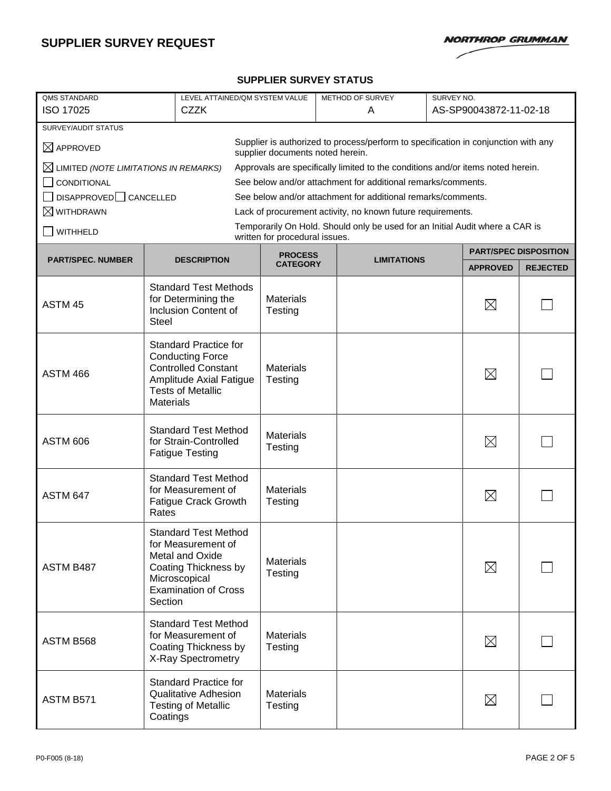

### **SUPPLIER SURVEY STATUS**

| <b>QMS STANDARD</b><br>ISO 17025                                                                                                               | LEVEL ATTAINED/QM SYSTEM VALUE<br><b>CZZK</b> |                                                                                                                                                     |                                |  | SURVEY NO.<br>METHOD OF SURVEY<br>A                                             |  |                              | AS-SP90043872-11-02-18 |  |
|------------------------------------------------------------------------------------------------------------------------------------------------|-----------------------------------------------|-----------------------------------------------------------------------------------------------------------------------------------------------------|--------------------------------|--|---------------------------------------------------------------------------------|--|------------------------------|------------------------|--|
| SURVEY/AUDIT STATUS                                                                                                                            |                                               |                                                                                                                                                     |                                |  |                                                                                 |  |                              |                        |  |
| Supplier is authorized to process/perform to specification in conjunction with any<br>$\boxtimes$ APPROVED<br>supplier documents noted herein. |                                               |                                                                                                                                                     |                                |  |                                                                                 |  |                              |                        |  |
| $\boxtimes$ LIMITED (NOTE LIMITATIONS IN REMARKS)                                                                                              |                                               |                                                                                                                                                     |                                |  | Approvals are specifically limited to the conditions and/or items noted herein. |  |                              |                        |  |
| CONDITIONAL                                                                                                                                    |                                               |                                                                                                                                                     |                                |  | See below and/or attachment for additional remarks/comments.                    |  |                              |                        |  |
| DISAPPROVED CANCELLED                                                                                                                          |                                               |                                                                                                                                                     |                                |  | See below and/or attachment for additional remarks/comments.                    |  |                              |                        |  |
| $\boxtimes$ withdrawn                                                                                                                          |                                               |                                                                                                                                                     |                                |  | Lack of procurement activity, no known future requirements.                     |  |                              |                        |  |
| <b>WITHHELD</b>                                                                                                                                |                                               |                                                                                                                                                     | written for procedural issues. |  | Temporarily On Hold. Should only be used for an Initial Audit where a CAR is    |  |                              |                        |  |
| <b>PART/SPEC. NUMBER</b>                                                                                                                       |                                               | <b>DESCRIPTION</b>                                                                                                                                  | <b>PROCESS</b>                 |  | <b>LIMITATIONS</b>                                                              |  | <b>PART/SPEC DISPOSITION</b> |                        |  |
|                                                                                                                                                |                                               |                                                                                                                                                     | <b>CATEGORY</b>                |  |                                                                                 |  | <b>APPROVED</b>              | <b>REJECTED</b>        |  |
| ASTM 45                                                                                                                                        | <b>Steel</b>                                  | <b>Standard Test Methods</b><br>for Determining the<br>Inclusion Content of                                                                         | <b>Materials</b><br>Testing    |  |                                                                                 |  | $\boxtimes$                  |                        |  |
| <b>ASTM 466</b>                                                                                                                                | <b>Materials</b>                              | <b>Standard Practice for</b><br><b>Conducting Force</b><br><b>Controlled Constant</b><br>Amplitude Axial Fatigue<br><b>Tests of Metallic</b>        | <b>Materials</b><br>Testing    |  |                                                                                 |  | $\boxtimes$                  |                        |  |
| <b>ASTM 606</b>                                                                                                                                |                                               | <b>Standard Test Method</b><br>for Strain-Controlled<br><b>Fatigue Testing</b>                                                                      | <b>Materials</b><br>Testing    |  |                                                                                 |  | $\boxtimes$                  |                        |  |
| <b>ASTM 647</b>                                                                                                                                | Rates                                         | <b>Standard Test Method</b><br>for Measurement of<br><b>Fatigue Crack Growth</b>                                                                    | <b>Materials</b><br>Testing    |  |                                                                                 |  | $\boxtimes$                  |                        |  |
| ASTM B487                                                                                                                                      | Section                                       | <b>Standard Test Method</b><br>for Measurement of<br><b>Metal and Oxide</b><br>Coating Thickness by<br>Microscopical<br><b>Examination of Cross</b> | <b>Materials</b><br>Testing    |  |                                                                                 |  | $\boxtimes$                  |                        |  |
| ASTM B568                                                                                                                                      |                                               | <b>Standard Test Method</b><br>for Measurement of<br>Coating Thickness by<br>X-Ray Spectrometry                                                     | <b>Materials</b><br>Testing    |  |                                                                                 |  | $\boxtimes$                  |                        |  |
| ASTM B571                                                                                                                                      | Coatings                                      | <b>Standard Practice for</b><br><b>Qualitative Adhesion</b><br><b>Testing of Metallic</b>                                                           | <b>Materials</b><br>Testing    |  |                                                                                 |  | $\boxtimes$                  |                        |  |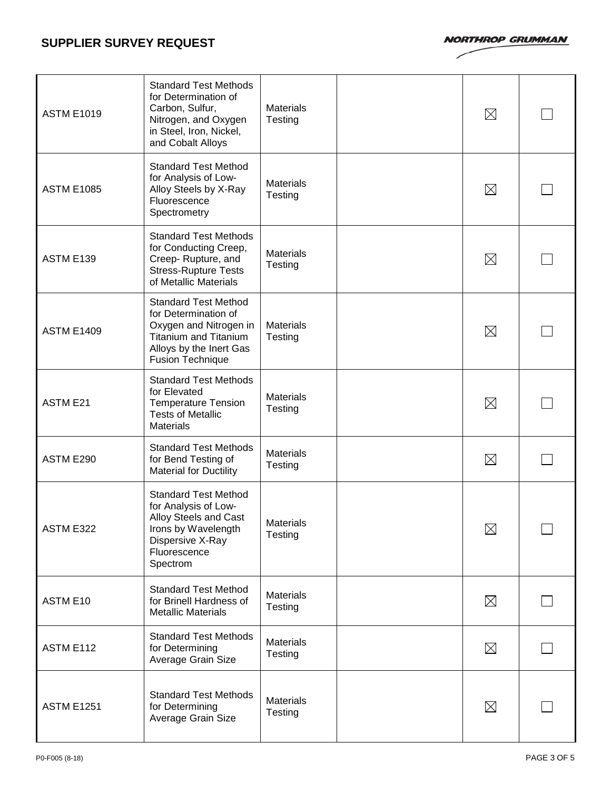## **SUPPLIER SURVEY REQUEST**

**NORTHROP GRUMMAN** 

| <b>ASTM E1019</b> | <b>Standard Test Methods</b><br>for Determination of<br>Carbon, Sulfur,<br>Nitrogen, and Oxygen<br>in Steel, Iron, Nickel,<br>and Cobalt Alloys                     | <b>Materials</b><br>Testing | $\boxtimes$ |  |
|-------------------|---------------------------------------------------------------------------------------------------------------------------------------------------------------------|-----------------------------|-------------|--|
| <b>ASTM E1085</b> | <b>Standard Test Method</b><br>for Analysis of Low-<br>Alloy Steels by X-Ray<br>Fluorescence<br>Spectrometry                                                        | <b>Materials</b><br>Testing | $\boxtimes$ |  |
| ASTM E139         | <b>Standard Test Methods</b><br>for Conducting Creep,<br>Creep-Rupture, and<br><b>Stress-Rupture Tests</b><br>of Metallic Materials                                 | <b>Materials</b><br>Testing | $\boxtimes$ |  |
| <b>ASTM E1409</b> | <b>Standard Test Method</b><br>for Determination of<br>Oxygen and Nitrogen in<br><b>Titanium and Titanium</b><br>Alloys by the Inert Gas<br><b>Fusion Technique</b> | <b>Materials</b><br>Testing | $\boxtimes$ |  |
| <b>ASTM E21</b>   | <b>Standard Test Methods</b><br>for Elevated<br><b>Temperature Tension</b><br><b>Tests of Metallic</b><br><b>Materials</b>                                          | <b>Materials</b><br>Testing | $\boxtimes$ |  |
| ASTM E290         | <b>Standard Test Methods</b><br>for Bend Testing of<br><b>Material for Ductility</b>                                                                                | <b>Materials</b><br>Testing | $\boxtimes$ |  |
| ASTM E322         | <b>Standard Test Method</b><br>for Analysis of Low-<br>Alloy Steels and Cast<br>Irons by Wavelength<br>Dispersive X-Ray<br>Fluorescence<br>Spectrom                 | <b>Materials</b><br>Testing | $\boxtimes$ |  |
| ASTM E10          | <b>Standard Test Method</b><br>for Brinell Hardness of<br><b>Metallic Materials</b>                                                                                 | <b>Materials</b><br>Testing | $\boxtimes$ |  |
| ASTM E112         | <b>Standard Test Methods</b><br>for Determining<br>Average Grain Size                                                                                               | <b>Materials</b><br>Testing | $\boxtimes$ |  |
| <b>ASTM E1251</b> | <b>Standard Test Methods</b><br>for Determining<br>Average Grain Size                                                                                               | <b>Materials</b><br>Testing | $\boxtimes$ |  |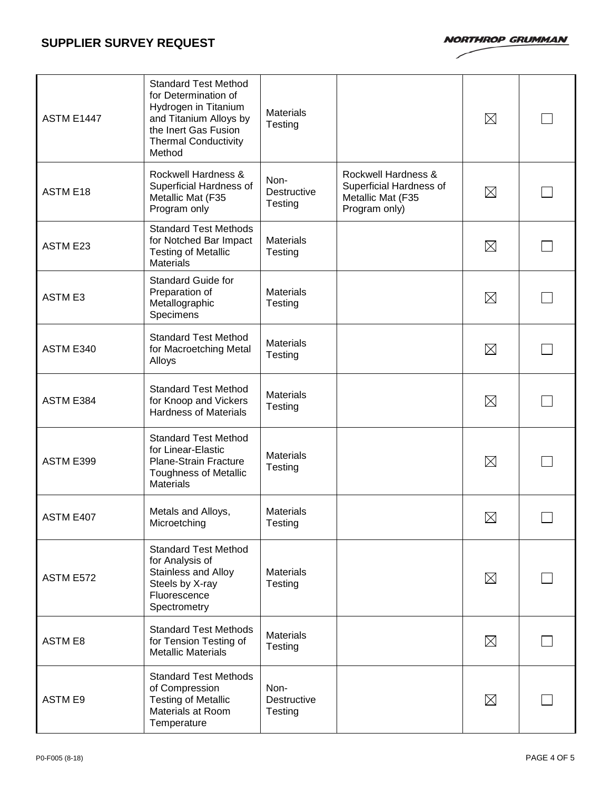**NORTHROP GRUMMAN** 

| <b>ASTM E1447</b> | <b>Standard Test Method</b><br>for Determination of<br>Hydrogen in Titanium<br>and Titanium Alloys by<br>the Inert Gas Fusion<br><b>Thermal Conductivity</b><br>Method | <b>Materials</b><br>Testing    |                                                                                      | $\boxtimes$ |  |
|-------------------|------------------------------------------------------------------------------------------------------------------------------------------------------------------------|--------------------------------|--------------------------------------------------------------------------------------|-------------|--|
| <b>ASTM E18</b>   | Rockwell Hardness &<br>Superficial Hardness of<br>Metallic Mat (F35<br>Program only                                                                                    | Non-<br>Destructive<br>Testing | Rockwell Hardness &<br>Superficial Hardness of<br>Metallic Mat (F35<br>Program only) | $\boxtimes$ |  |
| <b>ASTM E23</b>   | <b>Standard Test Methods</b><br>for Notched Bar Impact<br><b>Testing of Metallic</b><br><b>Materials</b>                                                               | <b>Materials</b><br>Testing    |                                                                                      | $\boxtimes$ |  |
| <b>ASTM E3</b>    | <b>Standard Guide for</b><br>Preparation of<br>Metallographic<br>Specimens                                                                                             | <b>Materials</b><br>Testing    |                                                                                      | $\boxtimes$ |  |
| ASTM E340         | <b>Standard Test Method</b><br>for Macroetching Metal<br>Alloys                                                                                                        | <b>Materials</b><br>Testing    |                                                                                      | $\boxtimes$ |  |
| ASTM E384         | <b>Standard Test Method</b><br>for Knoop and Vickers<br><b>Hardness of Materials</b>                                                                                   | <b>Materials</b><br>Testing    |                                                                                      | $\boxtimes$ |  |
| ASTM E399         | <b>Standard Test Method</b><br>for Linear-Elastic<br>Plane-Strain Fracture<br><b>Toughness of Metallic</b><br><b>Materials</b>                                         | <b>Materials</b><br>Testing    |                                                                                      | $\boxtimes$ |  |
| ASTM E407         | Metals and Alloys,<br>Microetching                                                                                                                                     | <b>Materials</b><br>Testing    |                                                                                      | $\boxtimes$ |  |
| ASTM E572         | <b>Standard Test Method</b><br>for Analysis of<br>Stainless and Alloy<br>Steels by X-ray<br>Fluorescence<br>Spectrometry                                               | <b>Materials</b><br>Testing    |                                                                                      | $\boxtimes$ |  |
| <b>ASTM E8</b>    | <b>Standard Test Methods</b><br>for Tension Testing of<br><b>Metallic Materials</b>                                                                                    | <b>Materials</b><br>Testing    |                                                                                      | $\boxtimes$ |  |
| <b>ASTM E9</b>    | <b>Standard Test Methods</b><br>of Compression<br><b>Testing of Metallic</b><br>Materials at Room<br>Temperature                                                       | Non-<br>Destructive<br>Testing |                                                                                      | $\boxtimes$ |  |